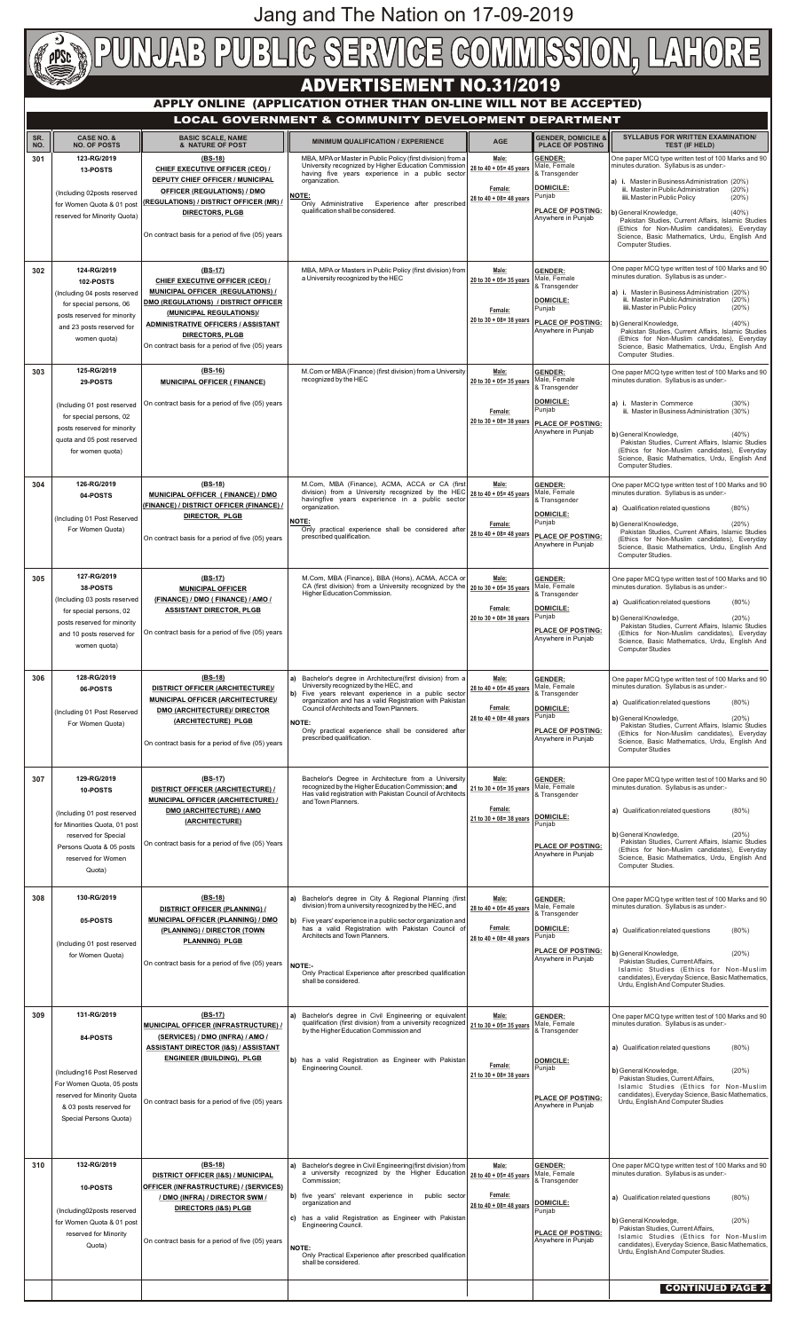# **ADVERTISEMENT NO.31/2019**

# **APPLY ONLINE (APPLICATION OTHER THAN ON-LINE WILL NOT BE ACCEPTED)**

## **LOCAL GOVERNMENT & COMMUNITY DEVELOPMENT DEPARTMENT**

| SR.<br>NO. | <b>CASE NO. &amp;</b><br><b>NO. OF POSTS</b>                                     | <b>BASIC SCALE, NAME</b><br>& NATURE OF POST                                                                                       | <b>MINIMUM QUALIFICATION / EXPERIENCE</b>                                                                                                                                                       | <b>AGE</b>                            | <b>GENDER, DOMICILE &amp;</b><br><b>PLACE OF POSTING</b> | <b>SYLLABUS FOR WRITTEN EXAMINATION/</b><br><b>TEST (IF HELD)</b>                                                                                                        |
|------------|----------------------------------------------------------------------------------|------------------------------------------------------------------------------------------------------------------------------------|-------------------------------------------------------------------------------------------------------------------------------------------------------------------------------------------------|---------------------------------------|----------------------------------------------------------|--------------------------------------------------------------------------------------------------------------------------------------------------------------------------|
| 301        | 123-RG/2019<br>13-POSTS                                                          | $(BS-18)$<br><b>CHIEF EXECUTIVE OFFICER (CEO) /</b>                                                                                | MBA, MPA or Master in Public Policy (first division) from a<br>University recognized by Higher Education Commission                                                                             | Male:<br>28 to $40 + 05 = 45$ years   | <b>GENDER:</b><br>Male, Female                           | One paper MCQ type written test of 100 Marks and 90<br>minutes duration. Syllabus is as under:-                                                                          |
|            | (Including 02posts reserved                                                      | <b>DEPUTY CHIEF OFFICER / MUNICIPAL</b><br><b>OFFICER (REGULATIONS) / DMO</b>                                                      | having five years experience in a public sector<br>organization.                                                                                                                                | Female:                               | & Transgender<br><b>DOMICILE:</b>                        | <b>a)</b> i. Master in Business Administration (20%)<br>ii. Master in Public Administration<br>(20%)                                                                     |
|            | for Women Quota & 01 post                                                        | (REGULATIONS) / DISTRICT OFFICER (MR) /<br><b>DIRECTORS, PLGB</b>                                                                  | NOTE:<br>Only Administrative<br>Experience after prescribed<br>qualification shall be considered.                                                                                               | $28$ to $40 + 08 = 48$ years          | Punjab<br>PLACE OF POSTING:                              | iii. Master in Public Policy<br>(20%)<br>b) General Knowledge,<br>$(40\%)$                                                                                               |
|            | reserved for Minority Quota)                                                     | On contract basis for a period of five (05) years                                                                                  |                                                                                                                                                                                                 |                                       | Anywhere in Punjab                                       | Pakistan Studies, Current Affairs, Islamic Studies<br>(Ethics for Non-Muslim candidates), Everyday<br>Science, Basic Mathematics, Urdu, English And<br>Computer Studies. |
| 302        | 124-RG/2019                                                                      | $(BS-17)$                                                                                                                          | MBA, MPA or Masters in Public Policy (first division) from<br>a University recognized by the HEC                                                                                                | Male:                                 | <b>GENDER:</b><br>Male, Female                           | One paper MCQ type written test of 100 Marks and 90<br>minutes duration. Syllabus is as under:-                                                                          |
|            | 102-POSTS<br>(Including 04 posts reserved                                        | <b>CHIEF EXECUTIVE OFFICER (CEO) /</b><br><b>MUNICIPAL OFFICER (REGULATIONS) /</b>                                                 |                                                                                                                                                                                                 | 20 to 30 + 05= 35 years               | & Transgender<br>DOMICILE:                               | a) i. Master in Business Administration (20%)<br>ii. Master in Public Administration<br>(20%)                                                                            |
|            | for special persons, 06<br>posts reserved for minority                           | <b>DMO (REGULATIONS) / DISTRICT OFFICER</b><br>(MUNICIPAL REGULATIONS)/                                                            |                                                                                                                                                                                                 | Female:<br>20 to $30 + 08 = 38$ years | Punjab<br><b>PLACE OF POSTING:</b>                       | iii. Master in Public Policy<br>(20%)<br>b) General Knowledge,<br>$(40\%)$                                                                                               |
|            | and 23 posts reserved for<br>women quota)                                        | <b>ADMINISTRATIVE OFFICERS / ASSISTANT</b><br><b>DIRECTORS, PLGB</b><br>On contract basis for a period of five (05) years          |                                                                                                                                                                                                 |                                       | Anywhere in Punjab                                       | Pakistan Studies, Current Affairs, Islamic Studies<br>(Ethics for Non-Muslim candidates), Everyday<br>Science, Basic Mathematics, Urdu, English And<br>Computer Studies. |
| 303        | 125-RG/2019<br>29-POSTS                                                          | $(BS-16)$<br><b>MUNICIPAL OFFICER ( FINANCE)</b>                                                                                   | M.Com or MBA (Finance) (first division) from a University<br>recognized by the HEC                                                                                                              | Male:<br>20 to 30 + 05= 35 years      | <b>GENDER:</b><br>Male, Female<br>& Transgender          | One paper MCQ type written test of 100 Marks and 90<br>minutes duration. Syllabus is as under:-                                                                          |
|            | (Including 01 post reserved                                                      | On contract basis for a period of five (05) years                                                                                  |                                                                                                                                                                                                 | Female:                               | <b>DOMICILE:</b><br>Punjab                               | a) i. Master in Commerce<br>$(30\%)$<br>ii. Master in Business Administration (30%)                                                                                      |
|            | for special persons, 02<br>posts reserved for minority                           |                                                                                                                                    |                                                                                                                                                                                                 | 20 to 30 + 08= 38 years               | <b>PLACE OF POSTING:</b><br>Anywhere in Punjab           | b) General Knowledge,<br>$(40\%)$                                                                                                                                        |
|            | quota and 05 post reserved<br>for women quota)                                   |                                                                                                                                    |                                                                                                                                                                                                 |                                       |                                                          | Pakistan Studies, Current Affairs, Islamic Studies<br>(Ethics for Non-Muslim candidates), Everyday<br>Science, Basic Mathematics, Urdu, English And<br>Computer Studies. |
| 304        | 126-RG/2019<br>04-POSTS                                                          | $(BS-18)$<br><b>MUNICIPAL OFFICER (FINANCE) / DMO</b>                                                                              | M.Com, MBA (Finance), ACMA, ACCA or CA (first<br>division) from a University recognized by the HEC $_28$ to $40 + 05 = 45$ years Male, Female<br>havingfive years experience in a public sector | Male:                                 | <b>GENDER:</b><br>& Transgender                          | One paper MCQ type written test of 100 Marks and 90<br>minutes duration. Syllabus is as under:-                                                                          |
|            | (Including 01 Post Reserved                                                      | (FINANCE) / DISTRICT OFFICER (FINANCE) /<br>DIRECTOR, PLGB                                                                         | organization.<br><b>NOTE:</b>                                                                                                                                                                   |                                       | <b>DOMICILE:</b><br>Punjab                               | $(80\%)$<br><b>a)</b> Qualification related questions                                                                                                                    |
|            | For Women Quota)                                                                 | On contract basis for a period of five (05) years                                                                                  | Only practical experience shall be considered after<br>prescribed qualification.                                                                                                                | Female:<br>28 to 40 + 08= 48 years    | <b>PLACE OF POSTING:</b><br>Anywhere in Punjab           | b) General Knowledge,<br>(20%)<br>Pakistan Studies, Current Affairs, Islamic Studies<br>(Ethics for Non-Muslim candidates), Everyday                                     |
|            |                                                                                  |                                                                                                                                    |                                                                                                                                                                                                 |                                       |                                                          | Science, Basic Mathematics, Urdu, English And<br>Computer Studies.                                                                                                       |
| 305        | 127-RG/2019<br>38-POSTS                                                          | $(BS-17)$<br><b>MUNICIPAL OFFICER</b>                                                                                              | M.Com, MBA (Finance), BBA (Hons), ACMA, ACCA or<br>CA (first division) from a University recognized by the<br>Higher Education Commission.                                                      | Male:<br>20 to 30 + 05= 35 years      | <b>GENDER:</b><br>Male, Female<br>& Transgender          | One paper MCQ type written test of 100 Marks and 90<br>minutes duration. Syllabus is as under:-                                                                          |
|            | (Including 03 posts reserved<br>for special persons, 02                          | (FINANCE) / DMO (FINANCE) / AMO /<br><b>ASSISTANT DIRECTOR, PLGB</b>                                                               |                                                                                                                                                                                                 | Female:                               | <b>DOMICILE:</b><br>Punjab                               | a) Qualification related questions<br>$(80\%)$                                                                                                                           |
|            | posts reserved for minority<br>and 10 posts reserved for                         | On contract basis for a period of five (05) years                                                                                  |                                                                                                                                                                                                 | 20 to $30 + 08 = 38$ years            | <b>PLACE OF POSTING:</b><br>Anywhere in Punjab           | b) General Knowledge,<br>(20%)<br>Pakistan Studies, Current Affairs, Islamic Studies<br>(Ethics for Non-Muslim candidates), Everyday                                     |
|            | women quota)                                                                     |                                                                                                                                    |                                                                                                                                                                                                 |                                       |                                                          | Science, Basic Mathematics, Urdu, English And<br><b>Computer Studies</b>                                                                                                 |
| 306        | 128-RG/2019<br>06-POSTS                                                          | $(BS-18)$<br><b>DISTRICT OFFICER (ARCHITECTURE)/</b>                                                                               | Bachelor's degree in Architecture(first division) from a<br>University recognized by the HEC, and                                                                                               | Male:<br>28 to 40 + 05= 45 years      | <b>GENDER:</b><br>Male, Female                           | One paper MCQ type written test of 100 Marks and 90<br>minutes duration. Syllabus is as under:-                                                                          |
|            | (Including 01 Post Reserved                                                      | <b>MUNICIPAL OFFICER (ARCHITECTURE)/</b><br><b>DMO (ARCHITECTURE)/ DIRECTOR</b>                                                    | Five years relevant experience in a public sector<br>l b) l<br>organization and has a valid Registration with Pakistan<br>Council of Architects and Town Planners.                              | Female:                               | & Transgender<br><b>DOMICILE:</b>                        | a) Qualification related questions<br>$(80\%)$                                                                                                                           |
|            | For Women Quota)                                                                 | (ARCHITECTURE) PLGB                                                                                                                | <b>NOTE:</b><br>Only practical experience shall be considered after                                                                                                                             | 28 to 40 + 08= 48 years               | Punjab<br><b>PLACE OF POSTING:</b>                       | b) General Knowledge,<br>(20%)<br>Pakistan Studies, Current Affairs, Islamic Studies<br>(Ethics for Non-Muslim candidates), Everyday                                     |
|            |                                                                                  | On contract basis for a period of five (05) years                                                                                  | prescribed qualification.                                                                                                                                                                       |                                       | Anywhere in Punjab                                       | Science, Basic Mathematics, Urdu, English And<br><b>Computer Studies</b>                                                                                                 |
| 307        | 129-RG/2019<br>10-POSTS                                                          | $(BS-17)$<br><b>DISTRICT OFFICER (ARCHITECTURE) /</b>                                                                              | Bachelor's Degree in Architecture from a University<br>recognized by the Higher Education Commission; and<br>Has valid registration with Pakistan Council of Architects                         | Male:<br>21 to 30 + 05= 35 years      | <b>GENDER:</b><br>Male, Female<br>& Transgender          | One paper MCQ type written test of 100 Marks and 90<br>minutes duration. Syllabus is as under:-                                                                          |
|            | (Including 01 post reserved                                                      | MUNICIPAL OFFICER (ARCHITECTURE) /<br><b>DMO (ARCHITECTURE) / AMO</b>                                                              | and Town Planners.                                                                                                                                                                              | Female:                               | DOMICILE:                                                | $(80\%)$<br>a) Qualification related questions                                                                                                                           |
|            | for Minorities Quota, 01 post<br>reserved for Special                            | (ARCHITECTURE)                                                                                                                     |                                                                                                                                                                                                 | 21 to 30 + 08= 38 years               | Punjab                                                   | b) General Knowledge,<br>(20%)<br>Pakistan Studies, Current Affairs, Islamic Studies                                                                                     |
|            | Persons Quota & 05 posts<br>reserved for Women<br>Quota)                         | On contract basis for a period of five (05) Years                                                                                  |                                                                                                                                                                                                 |                                       | <b>PLACE OF POSTING:</b><br>Anywhere in Punjab           | (Ethics for Non-Muslim candidates), Everyday<br>Science, Basic Mathematics, Urdu, English And<br>Computer Studies.                                                       |
| 308        | 130-RG/2019                                                                      | $(BS-18)$                                                                                                                          | a) Bachelor's degree in City & Regional Planning (first                                                                                                                                         | Male:                                 | <b>GENDER:</b>                                           | One paper MCQ type written test of 100 Marks and 90                                                                                                                      |
|            | 05-POSTS                                                                         | <b>DISTRICT OFFICER (PLANNING) /</b><br>MUNICIPAL OFFICER (PLANNING) / DMO                                                         | division) from a university recognized by the HEC, and<br>$ b\rangle$ Five years' experience in a public sector organization and<br>has a valid Registration with Pakistan Council of           | 28 to 40 + 05= 45 years<br>Female:    | Male, Female<br>& Transgender<br><b>DOMICILE:</b>        | minutes duration. Syllabus is as under:-                                                                                                                                 |
|            | (Including 01 post reserved                                                      | (PLANNING) / DIRECTOR (TOWN<br><b>PLANNING) PLGB</b>                                                                               | Architects and Town Planners.                                                                                                                                                                   | 28 to 40 + 08= 48 years               | Punjab<br><b>PLACE OF POSTING:</b>                       | a) Qualification related questions<br>$(80\%)$                                                                                                                           |
|            | for Women Quota)                                                                 | On contract basis for a period of five (05) years                                                                                  | NOTE:-<br>Only Practical Experience after prescribed qualification                                                                                                                              |                                       | Anywhere in Punjab                                       | b) General Knowledge,<br>(20%)<br>Pakistan Studies, Current Affairs,<br>Islamic Studies (Ethics for Non-Muslim                                                           |
|            |                                                                                  |                                                                                                                                    | shall be considered.                                                                                                                                                                            |                                       |                                                          | candidates), Everyday Science, Basic Mathematics,<br>Urdu, English And Computer Studies.                                                                                 |
| 309        | 131-RG/2019                                                                      | $(BS-17)$                                                                                                                          | Bachelor's degree in Civil Engineering or equivalent<br>qualification (first division) from a university recognized $21$ to $30 + 05 = 35$ years                                                | Male:                                 | <b>GENDER:</b><br>Male, Female                           | One paper MCQ type written test of 100 Marks and 90<br>minutes duration. Syllabus is as under:-                                                                          |
|            | 84-POSTS                                                                         | <b>MUNICIPAL OFFICER (INFRASTRUCTURE) /</b><br>(SERVICES) / DMO (INFRA) / AMO /<br><b>ASSISTANT DIRECTOR (I&amp;S) / ASSISTANT</b> | by the Higher Education Commission and                                                                                                                                                          |                                       | & Transgender                                            | $(80\%)$<br>a) Qualification related questions                                                                                                                           |
|            |                                                                                  | <b>ENGINEER (BUILDING), PLGB</b>                                                                                                   | b) has a valid Registration as Engineer with Pakistan<br>Engineering Council.                                                                                                                   | Female:                               | <b>DOMICILE:</b><br>Punjab                               | (20%)<br>b) General Knowledge,                                                                                                                                           |
|            | (Including16 Post Reserved<br>For Women Quota, 05 posts                          |                                                                                                                                    |                                                                                                                                                                                                 | 21 to 30 + 08= 38 years               |                                                          | Pakistan Studies, Current Affairs,<br>Islamic Studies (Ethics for Non-Muslim<br>candidates), Everyday Science, Basic Mathematics,                                        |
|            | reserved for Minority Quota<br>& 03 posts reserved for<br>Special Persons Quota) | On contract basis for a period of five (05) years                                                                                  |                                                                                                                                                                                                 |                                       | <b>PLACE OF POSTING:</b><br>Anywhere in Punjab           | Urdu, English And Computer Studies                                                                                                                                       |
|            |                                                                                  |                                                                                                                                    |                                                                                                                                                                                                 |                                       |                                                          |                                                                                                                                                                          |
| 310        | 132-RG/2019                                                                      | (BS-18)                                                                                                                            | Bachelor's degree in Civil Engineering (first division) from                                                                                                                                    | Male:                                 | <b>GENDER:</b>                                           | One paper MCQ type written test of 100 Marks and 90                                                                                                                      |
|            | 10-POSTS                                                                         | <b>DISTRICT OFFICER (I&amp;S) / MUNICIPAL</b><br><b>OFFICER (INFRASTRUCTURE) / (SERVICES)</b>                                      | a university recognized by the Higher Education 28 to $40 + 05 = 45$ years<br>Commission;                                                                                                       |                                       | Male, Female<br>& Transgender                            | minutes duration. Syllabus is as under:-                                                                                                                                 |
|            | (Including02posts reserved                                                       | / DMO (INFRA) / DIRECTOR SWM /<br><b>DIRECTORS (I&amp;S) PLGB</b>                                                                  | b) five years' relevant experience in<br>public sector<br>organization and                                                                                                                      | Female:<br>28 to 40 + 08 = 48 years   | DOMICILE:<br>Punjab                                      | a) Qualification related questions<br>$(80\%)$                                                                                                                           |
|            | for Women Quota & 01 post<br>reserved for Minority                               |                                                                                                                                    | has a valid Registration as Engineer with Pakistan<br>IC)<br><b>Engineering Council</b>                                                                                                         |                                       | <b>PLACE OF POSTING:</b>                                 | (20%)<br>b) General Knowledge,<br>Pakistan Studies, Current Affairs,<br>Islamic Studies (Ethics for Non-Muslim                                                           |
|            | Quota)                                                                           | On contract basis for a period of five (05) years                                                                                  | NOTE:<br>Only Practical Experience after prescribed qualification<br>shall be considered.                                                                                                       |                                       | Anywhere in Punjab                                       | candidates), Everyday Science, Basic Mathematics,<br>Urdu, English And Computer Studies.                                                                                 |
|            |                                                                                  |                                                                                                                                    |                                                                                                                                                                                                 |                                       |                                                          |                                                                                                                                                                          |
|            |                                                                                  |                                                                                                                                    |                                                                                                                                                                                                 |                                       |                                                          | <b>CONTINUED PAGE 2</b>                                                                                                                                                  |

Jang and The Nation on 17-09-2019

## AB PUBLIC SER TGE COMMISSION, LAHORE **DUI** PUSE